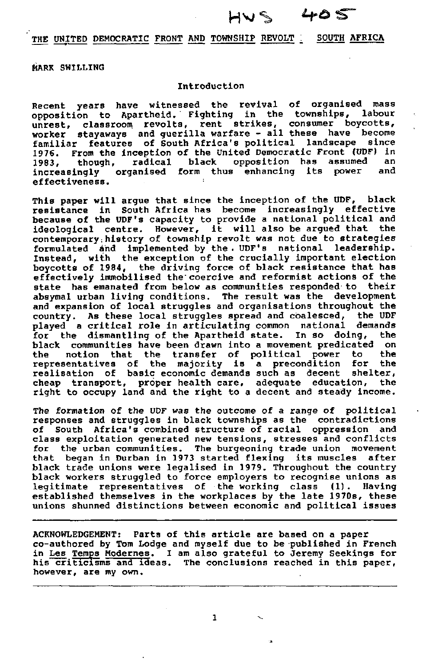# $HWS$  405

# THE UNITED DEMOCRATIC FRONT AND TOWNSHIP REVOLT SOUTH AFRICA

MARK SWILLING

#### Introduction

Recent years have witnessed the revival of organised mass opposition to Apartheid. Fighting in the townships, labour unrest, classroom revolts, rent strikes, consumer boycotts, worker stayaways and guerilla warfare - all these have become familiar features of South Africa's political landscape 1976. From the inception of the United Democratic Front (UDF) in<br>1983, though, radical black opposition has assumed an 1983, though, radical black opposition has assumed an increasingly organised form thus ephancing its power and increasingly organised form thus enhancing its power and : effectiveness.

This paper will argue that since the inception of the UDF, black resistance in South Africa has become increasingly effective because of the UDF's capacity to provide a national political and ideological centre. However, it will also be argued that the contemporary:history of township revolt was not due to strategies formulated And implemented by the. UDF's national leadership. Instead, with the exception of the crucially important election boycotts of 1984, the driving force of black resistance that has effectively immobilised the'coercive and reformist actions of the state has emanated from below as communities responded to their absymal urban living conditions. The result was the development and expansion of local struggles and organisations throughout the country. As these local struggles spread and coalesced, the UDF played a critical role in articulating common national demands for the dismantling of the Apartheid state. In so doing, the black communities have been drawn into a movement predicated on the notion that the transfer of political power to the the hollow that the flametic transfer the particular power to the realisation of basic economic demands such as decent shelter, cosisation of passe compare themanus such as uccurition, the<br>cheap transport, propor health care, adequate education, the right to occupy land and the right to a decent and steady income.

The formation of the UDF was the outcome of a range of political responses and struggles in black townships as the contradictions of South Africa's combined structure of racial oppression and class exploitation generated new tensions, stresses and conflicts for the urban communities. The burgeoning trade union movement that began in Durban in 1973 started flexing its muscles after black trade unions were legalised in 1979. Throughout the country black workers struggled to force employers to recognise unions as legitimate representatives of the working class (1). Having established themselves in the workplaces by the late 1970s, these unions shunned distinctions between economic and political issues

ACKNOWLEDGEMENT: Parts of this article are based on a paper co-authored by Tom Lodge and myself due to be published in French in Les Temps Modernes. I am also grateful to Jeremy Seekings for his criticisms and ideas. The conclusions reached in this paper, however, are my own.

 $\mathbf{1}$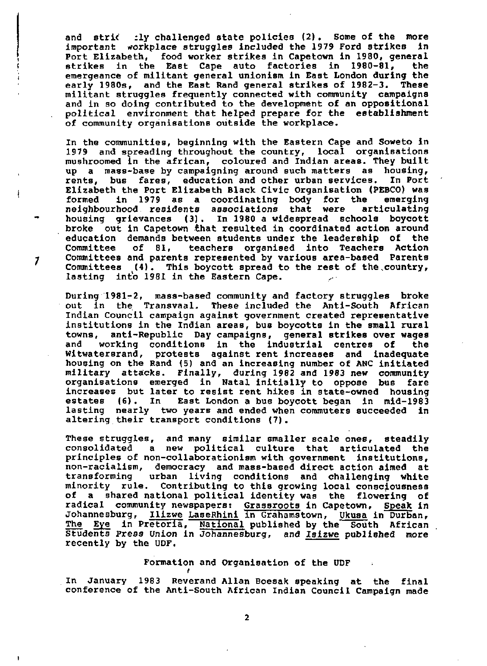and strid :ly challenged state policies (2). Some of the more important workplace struggles included the 1979 Ford strikes in Port Elizabeth, food worker strikes in Capetown in 1980, general strikes in the East Cape auto factories in 1980-81, the emergeance of militant general unionism in East London during the early 1980s, and the East Rand general strikes of 1982-3. These militant struggles frequently connected with community campaigns and in so doing contributed to the development of an oppositional political environment that helped prepare for the establishment of community organisations outside the workplace.

In the communities, beginning with the Eastern Cape and Soweto in 1979 and spreading throughout the country, local organisations mushroomed in the african, coloured and Indian areas. They built up a mass-base by campaigning around such matters as housing, rents, bus fares, education and other urban services. In Port Elizabeth the Port Elizabeth Black Civic Organisation (PEBCO) was<br>formed in 1979 as a coordinating body for the emerging formed in 1979 as a coordinating body for the emerging neighbourhood, residents associations that were articulating housing grievances (3). In 1980 a widespread schools boycott broke out in Capetown that resulted in coordinated action around education demands between students under the leadership of the<br>Committee of 81. teachers organised into Teachers Action of 81, teachers organised into Teachers Action Committees and parents represented by various area-based Parents Committees (4). This boycott spread to the rest of the,country, lasting into 1981 in the Eastern Cape.

į

 $\mathbf{r}$ 

During 1981-2, mass-based community and factory struggles broke out in the Transvaal. These included the Anti-South African Indian Council campaign against government created representative institutions in the Indian areas, bus boycotts in the small rural towns, anti-Republic Day campaigns, general strikes over wages and working conditions in the industrial centres of the Witwatersrand, protests against rent increases and inadequate housing on the Rand (5) and an increasing number of ANC initiated military attacks. Finally, during 1982 and 1983 new community organisations emerged in Natal initially to oppose bus fare increases but later to resist rent hikes in state-owned housing estates (6). In East London a bus boycott began in mid-1983 lasting nearly two years and ended when commuters succeeded in altering their transport conditions (7).

These struggles, and many similar smaller scale ones, steadily consolidated a new political culture that articulated the principles of non-collaborationism with government institutions, non-racialism, democracy and mass-based direct action aimed at urban living conditions and challenging white minority rule. Contributing to this growing local consciousness of a shared national political identity was the flowering of radical community newspapers: Grassroots in Capetown, Speak in Johannesburg, Ilizwe LaseRhini in Grahamstown, Ukusa in Durban, The Eye in Pretoria, National published by the South African Students Press Union in Johannesburg, and Isizwe published more recently by the UDF.

### Formation and Organisation of the UDF

In January 1983 Reverand Allan Boesak speaking at the final conference of the Anti-South African Indian Council Campaign made

i

 $\overline{2}$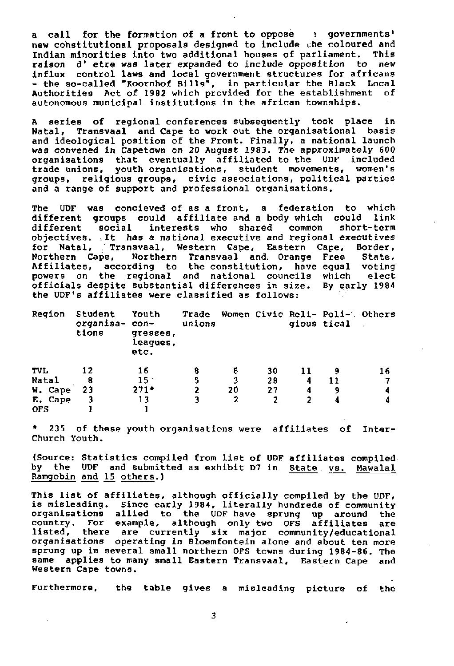a call for the formation of a front to oppose > governments' new cohstitutional proposals designed to include che coloured and Indian minorities into two additional houses of parliament. This raison d' etre was later expanded to include opposition to new influx control laws and local government structures for africans - the so-called "Koornhof Bills", in particular the Black Local Authorities Act of 1982 which provided for the establishment of autonomous municipal institutions in the african townships.

A series of regional conferences subsequently took place in Natal, Transvaal and Cape to work out the organisational basis and ideological position of the Front. Finally, a national launch was convened in Capetown on 20 August 1983. The approximately 600 organisations that eventually affiliated to the UDF included trade unions, youth organisations, student movements, women's groups, religious groups, civic associations, political parties and a range of support and professional organisations.

The UDF was concieved of as a front, a federation to which different groups could affiliate and a body which could link different social interests who shared common short-term objectives. <sub>:</sub>It has a national executive and regional executives<br>for Natal, MTransvaal, Western Cape, Eastern Cape, Border, for Natal, .Transvaal, Western Cape, Eastern Cape, Northern Cape, Northern Transvaal and. Orange Free State. Affiliates, according to the constitution, have equal voting powers on the regional and national councils which elect officials despite substantial differences in size. By early 1984 the UDF's affiliates were classified as follows:

| Region     | Student<br>organisa- con-<br>tions | Youth<br>gresses.<br>leaques.<br>etc. | Trade<br>unions |    |    |    | gious tical | Women Civic Reli- Poli- Others |
|------------|------------------------------------|---------------------------------------|-----------------|----|----|----|-------------|--------------------------------|
| <b>TVL</b> | 12                                 | 16                                    |                 | 8  | 30 | 11 |             | 16                             |
| Natal      | 8                                  | 15 <sup>2</sup>                       |                 | 1  | 28 | 4  | 11          |                                |
| W. Cape    | 23                                 | $271*$                                | 2               | 20 | 27 | 4  | 9           | 4                              |
| E. Cape    |                                    | 13                                    |                 | 2  |    |    | 4           | 4                              |
| <b>OFS</b> |                                    |                                       |                 |    |    |    |             |                                |

\* 235 of these youth organisations were affiliates of Inter- Church Youth.

(Source: Statistics compiled from list of UDF affiliates compiled by the UDF and submitted as exhibit D7 in State vs. Mawalal Ramgobin and 15 others.)

This list of affiliates, although officially compiled by the UDF, is misleading. Since early 1984, literally hundreds of community organisations allied to the UDF have sprung up around the country. For example, although only two OFS affiliates are listed, there are currently six major community/educational organisations operating in Bloemfontein alone and about ten more sprung up in several small northern OFS towns during 1984-86. The same applies to many small Eastern Transvaal, Eastern Cape and Western Cape towns.

Furthermore, the table gives a misleading picture of the

3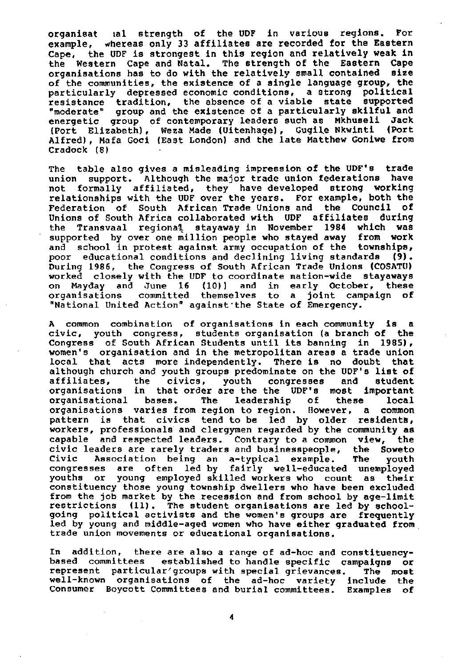organisat lal strength of the UDF in various regions. For example, whereas only 33 affiliates are recorded for the Eastern Cape, the UDF is strongest in this region and relatively weak in the Western Cape and Natal. The strength of the Eastern Cape organisations has to do with the relatively small contained size of the communities, the existence of a single language group, the particularly depressed economic conditions, a strong political resistance tradition, the absence of a viable state supported "moderate" group and the existence of a particularly skilful and energetic group of contemporary leaders such as Mkhuseli Jack (Port Elizabeth), Weza Made (Uitenhage), Gugile Nkwinti (Port Alfred), Mafa Goci (East London) and the late Matthew Goniwe from Cradock (8)

The table also gives a misleading impression of the UDF's trade union support. Although the major trade union federations have not formally affiliated, they have developed strong working relationships with the UDF over the years. For example, both the Federation of South African Trade Unions and the Council of Unions of South Africa collaborated with UDF affiliates during the Transvaal regional stayaway in November 1984 which was supported by over one million people who stayed away from work and school in protest against army occupation of the townships, poor educational conditions and declining living standards (9). During 1986, the Congress of South African Trade Unions (COSATU) worked closely with the UDF to coordinate nation-wide stayaways on Mayday and June 16 (10)) and in early October, these organisations committed themselves to a joint campaign of "National United Action" against"the State of Emergency.

A common combination of organisations in each community is a civic, youth congress, students organisation (a branch of the Congress of South African Students until its banning in 1985), women's organisation and in the metropolitan areas a trade union local that acts more independently. There is no doubt that although church and youth groups predominate on the UDF's list of affiliates, the civics, youth congresses and student organisations in that order are the the UDF's most important organisational bases. The leadership of these local organisations varies from region to region. However, a common pattern is that civics tend to be led by older residents, workers, professionals and clergymen regarded by the community as capable and respected leaders. Contrary to a common view, the civic leaders are rarely traders and businesspeople, the Soweto Civic Association being an a-typical example. The youth congresses are often led by fairly well-educated unemployed youths or young employed skilled workers who count as their constituency those young township dwellers who have been excluded from the job market by the recession and from school by age-limit restrictions (11) . The student organisations are led by schoolgoing political activists and the women's groups are frequently led by young and middle-aged women who have either graduated from trade union movements or educational organisations.

In addition, there are also a range of ad-hoc and constituencyestablished to handle specific campaigns or represent particular'groups with special grievances. The most well-known organisations of the ad-hoc variety include the Consumer Boycott Committees and burial committees. Examples of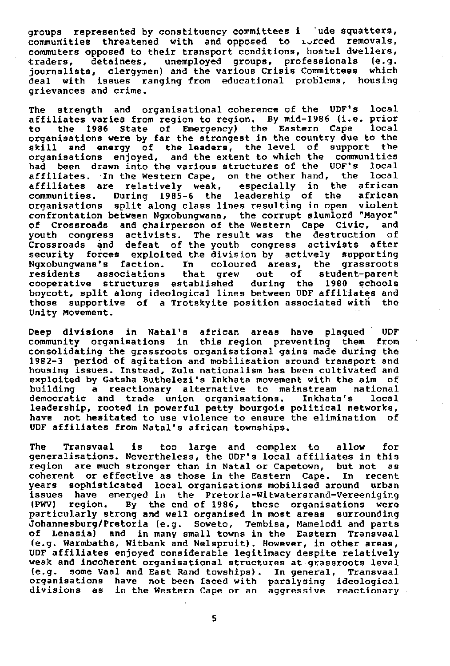groups represented by constituency committees i 'ude squatters, commun'ities threatened with and opposed to wrced removals, commuters opposed to their transport conditions, hostel dwellers,<br>traders, detainees, unemploved groups, professionals (e.g. detainees, unemployed groups, professionals (e.g. journalists, clergymen) and the various Crisis Committees which deal with issues ranging from educational problems, housing grievances and crime.

The strength and organisational coherence of the UDF's local affiliates varies from region to region. By mid-1986 (i.e. prior to the 1986 State of Emergency) the Eastern Cape local organisations were by far the strongest in the country due to the skill and energy of the leaders, the level of support the organisations enjoyed, and the extent to which the communities had been drawn into the various structures of the UDF's local<br>affiliates. In the Western Cape, on the other hand, the local affiliates. In the Western Cape, on the other hand, affiliates are relatively weak, especially in the african communities. During 1985-6 the leadership of the african organisations split along class lines resulting in open violent confrontation between Ngxobungwana, the corrupt slumlord "Mayor" of Crossroads and chairperson of the Western Cape Civic, and youth congress activists. The result was the destruction of Crossroads and defeat of the youth congress activists after security fotces exploited the division by actively supporting Ngxobungwana's faction. In coloured areas, the grassroots residents associations that grew out of student-parent cooperative structures established during the 1980 schools boycott, split along ideological lines between UDF affiliates and those supportive of a Trotskyite position associated with the Unity Movement.

Deep divisions in Natal's african areas have plagued UDF community organisations in this region preventing them from consolidating the grassroots organisational gains made during the 1982-3 period of agitation and mobilisation around transport and housing issues. Instead, Zulu nationalism has been cultivated and<br>exploited by Gatsha Buthelezi's Inkhata movement with the aim of exploited by Gatsha Buthelezi's Inkhata movement with the aim of a reactionary alternative to mainstream national<br>and trade union organisations. Inkhata's local democratic and trade union organisations. Inkhata's local leadership, rooted in powerful petty bourgois political networks, have not hesitated to use violence to ensure the elimination of UDF affiliates from Natal's african townships.

The Transvaal is too large and complex to allow for generalisations. Nevertheless, the UDF's local affiliates in this region are much stronger than in Natal or Capetown, but not as coherent or effective as those in the Eastern Cape. In recent years sophisticated local organisations mobilised around urban issues have emerged in the Pretoria-Witwatersrand-Vereeniging (PWV) region. By the end of 1986, these organisations were particularly strong and well organised in most areas surrounding Johannesburg/Pretoria (e.g. Soweto, Tembisa, Mamelodi and parts of Lenasia) and in many small towns in the Eastern Transvaal (e.g. Warmbaths, Witbank and Nelspruit). However, in other areas, UDF affiliates enjoyed considerable legitimacy despite relatively weak and incoherent organisational structures at grassroots level (e.g. some Vaal and East Rand towships). In general, Transvaal organisations have not been faced with paralysing ideological divisions as in the Western Cape or an aggressive reactionary

5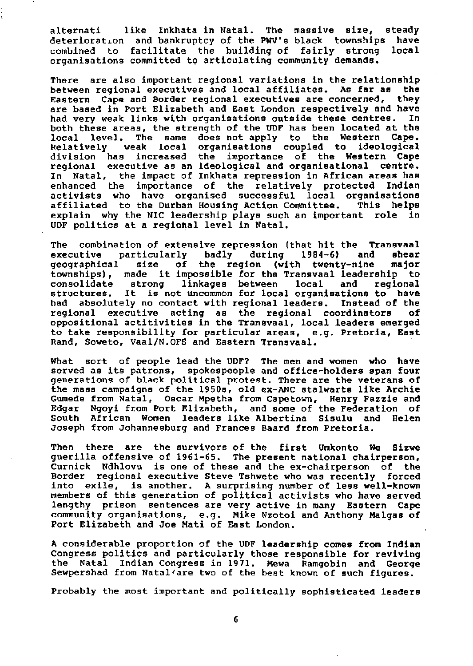alternati like Inkhata in Natal. The massive size, steady deterioration and bankruptcy of the PWV's black townships have combined to facilitate the building of fairly strong local organisations committed to articulating community demands.

There are also important regional variations in the relationship between regional executives and local affiliates. As far as the Eastern Cape and Border regional executives are concerned, are based in Port Elizabeth and East London respectively and have had very weak links with organisations outside these centres. In both these areas, the strength of the UDF has been located at the local level. The same does not apply to the Western Cape. Relatively weak local organisations coupled to ideological division has increased the importance of the Western Cape regional executive as an ideological and organisational centre. In Natal, the impact of Inkhata repression in African areas has enhanced the importance of the relatively protected Indian activists who have organised successful local organisations affiliated to the Durban Housing Action Committee. This helps explain why the NIC leadership plays such an important role in UDF politics at a regional level in Natal.

The combination of extensive repression (that hit the Transvaal executive particularly badly during 1984-6) and shear geographical size of the region (with twenty-nine major townships), made it impossible for the Transvaal leadership to consolidate strong linkages between local and regional structures. It is not uncommon for local organisations to have had absolutely no contact with regional leaders. Instead of the regional executive acting as the regional coordinators of oppositional actitivities in the Transvaal, local leaders emerged to take responsibility for particular areas, e.g. Pretoria, East Rand, Soweto, Vaal/N.OFS and Eastern Transvaal.

What sort of people lead the UDF? The men and women who have served as its patrons, spokespeople and office-holders span four generations of black political protest. There are the veterans of the mass campaigns of the 1950s, old ex-ANC stalwarts like Archie Gumede from Natal, Oscar Mpetha from Capetown, Henry Fazzie and Edgar Ngoyi from Port Elizabeth, and some of the Federation of African Women leaders like Albertina Sisulu and Helen Joseph from Johannesburg and Frances Baard from Pretoria.

Then there are the survivors of the first Umkonto We Sizwe guerilla offensive of 1961-65. The present national chairperson, Curnick Ndhlovu is one of these and the ex-chairperson of the Border regional executive Steve Tshwete who was recently forced into exile, is another. A surprising number of less well-known members of this generation of political activists who have served lengthy prison sentences are very active in many Eastern Cape community organisations, e.g. Mike Nzotoi and Anthony Malgas of Port Elizabeth and Joe Mati of East London.

A considerable proportion of the UDF leadership comes from Indian Congress politics and particularly those responsible for reviving the Natal Indian Congress in 1971. Mewa Ramgobin and George Sewpershad from Natal'are two of the best known of such figures.

Probably the most important and politically sophisticated leaders

6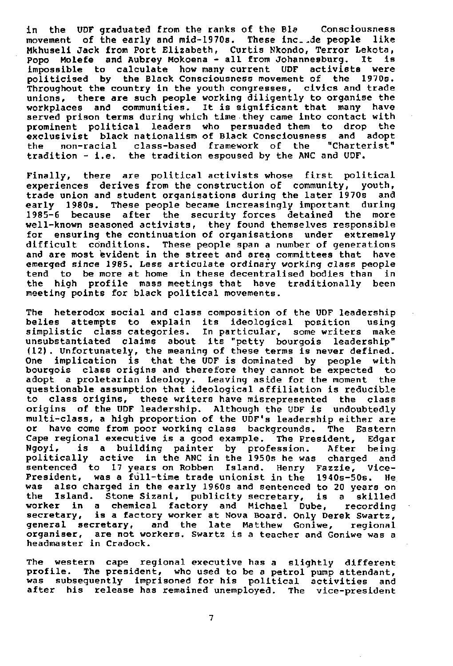in the UDF graduated from the ranks of the Bla Consciousness movement of the early and mid-1970s. These inc.-de people like Mkhuseli Jack from Port Elizabeth, Curtis Nkondo, Terror Lekota, Popo Molefe and Aubrey Mokoena - all from Johannesburg. It is impossible to calculate how many current UDF activists were politicised by the Black Consciousness movement of the 1970s. Throughout the country in the youth congresses, civics and trade unions, there are such people working diligently to organise the workplaces and communities. It is significant that many have served prison terms during which time they came into contact with prominent political leaders who persuaded them to drop the exclusivist black nationalism of Black Consciousness and adopt the non-racial class-based framework of the "Charterist" tradition - i.e. the tradition espoused by the ANC and UDF.

Finally, there are political activists whose first political experiences derives from the construction of community, youth, trade union and student organisations during the later 1970s and early 1980s. These people became increasingly important during 1985-6 because after the security forces detained the more well-known seasoned activists, they found themselves responsible for ensuring the continuation of organisations under extremely difficult conditions. These people span a number of generations and are most evident in the street and area committees that have emerged since 1985. Less articulate ordinary working class people tend to be more at home in these decentralised bodies than in the high profile mass meetings that have traditionally been meeting points for black political movements.

The heterodox social and class composition of the UDF leadership belies attempts to explain its ideological position using simplistic class categories. In particular, some writers make unsubstantiated claims about its "petty bourgois leadership" (12). Unfortunately, the meaning of these terms is never defined. One implication is that the UDF is dominated by people with bourgois class origins and therefore they cannot be expected to adopt a proletarian ideology. Leaving aside for the moment the questionable assumption that ideological affiliation is reducible to class origins, these writers have misrepresented the class origins of the UDF leadership. Although the UDF is undoubtedly multi-class, a high proportion of the UDF's leadership either are or have come from poor working class backgrounds. The Eastern Cape regional executive is a good example. The President, Edgar Ngoyi, is a building painter by profession. After being politically active in the ANC in the 1950s he was charged and sentenced to 17 years on Robben Island. Henry Fazzie, Vice-President, was a full-time trade unionist in the 1940s-50s. He was also charged in the early 1960s and sentenced to 20 years on the Island. Stone Sizani, publicity secretary, is a skilled worker in a chemical factory and Michael Dube, recording secretary, is a factory worker at Nova Board. Only Derek Swartz, secretary, is a factory worker at Nova Board. Only Derek Swartz,<br>general secretary, and the late Matthew Goniwe, regional organiser, are not workers. Swartz is a teacher and Goniwe was a headmaster in Cradock.

The western cape regional executive has a slightly different profile. The president, who used to be a petrol pump attendant, was subsequently imprisoned for his political activities and after his release has remained unemployed. The vice-president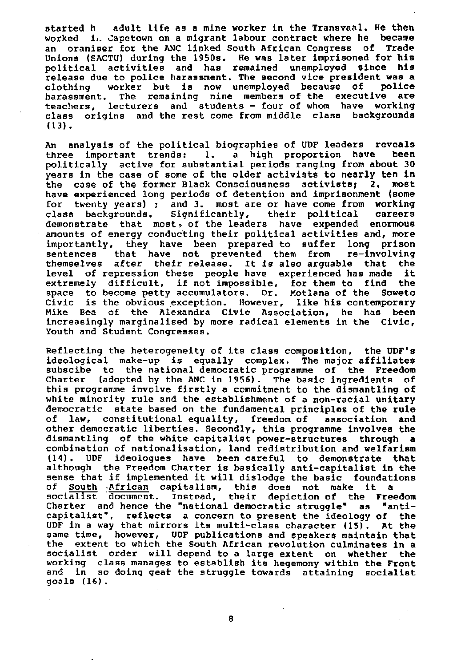started h adult life as a mine worker in the Transvaal. He then worked ii. Capetown on a migrant labour contract where he became an oraniser for the ANC linked South African Congress of Trade Unions (SACTU) during the 1950s. He was later imprisoned for his political activities and has remained unemployed since his release due to police harassment. The second vice president was a<br>clothing worker but is now unemployed because of police clothing worker but is now unemployed because of harassment. The remaining nine members of the executive are teachers, lecturers and students - four of whom have working class origins and the rest come from middle class backgrounds (13).

An analysis of the political biographies of UDF leaders reveals three important trends: 1. a high proportion have been politically active for substantial periods ranging from about 30 years in the case of some of the older activists to nearly ten in the case of the former Black Consciousness activists; 2. most have experienced long periods of detention and imprisonment (some for twenty years) ; and 3. most are or have come from working class backgrounds. Significantly, their political careers demonstrate that most? of the leaders have expended enormous amounts of energy conducting their political activities and, more importantly, they have been prepared to suffer long prison sentences that have not prevented them from re-involving themselves after their release. It is also arguable that the level of repression these people have experienced has made it extremely difficult, if not impossible, for them to find the space to become petty accumulators. Dr. Motlana of the Soweto Civic is the obvious exception. However, like his contemporary Mike Bea of the Alexandra Civic Association, he has been increasingly marginalised by more radical elements in the Civic, Youth and Student Congresses.

Reflecting the heterogeneity of its class composition, the UDF's ideological make-up is equally complex. The major affiliates subscibe to the national democratic programme of the Freedom Charter (adopted by the ANC in 1956). The basic ingredients of this programme involve firstly a commitment to the dismantling of white minority rule and the establishment of a non-racial unitary democratic state based on the fundamental principles of the rule of law, constitutional equality, freedom of association and other democratic liberties. Secondly, this programme involves the dismantling of the white capitalist power-structures through a combination of nationalisation, land redistribution and welfarism (14). UDF ideologues have been careful to demonstrate that although the Freedom Charter is basically anti-capitalist in the sense that if implemented it will dislodge the basic foundations of South African capitalism, this does not make it a socialist document. Instead, their depiction of the Freedom Charter and hence the "national democratic struggle" as "anticapitalist", reflects a concern to present the ideology of the UDF in a way that mirrors its multi-class character (15). At the. same time, however, UDF publications and speakers maintain that the extent to which the South African revolution culminates in a socialist order will depend to a large extent on whether the working class manages to establish its hegemony within the Front and in so doing gear the struggle towards attaining socialist goals (16).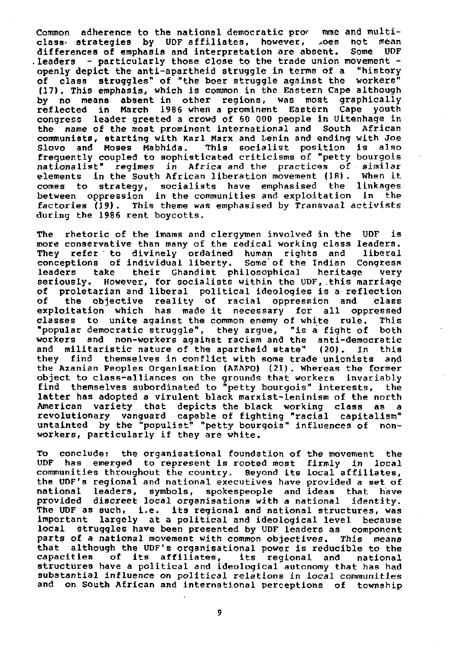Common adherence to the national democratic pro<sup>c</sup> mme and multi-<br>class, strategies, by UDF affiliates, however, zoes not mean class<sub>'</sub> strategies by UDF affiliates, however, zoes not mean<br>differences of emphasis and interpretation are absent. Some UDF differences of emphasis and interpretation are absent. .leaders - particularly those close to the trade union movement openly depict the.anti-apartheid struggle in terms of a "history of class struggles" of "the boer struggle against the workers' (17). This emphasis, which is common in the Eastern Cape although by no means absent in other regions, was most graphically reflected in March 1986 when a prominent Eastern Cape youth congress leader greeted a crowd of 60 000 people in Uitenhage in the name of the most prominent international and South African communists, starting with Karl Marx and Lenin and ending with Joe Slovo and Moses Mabhida. This socialist position is also frequently coupled to sophisticated criticisms of "petty bourgois nationalist" regimes in Africa and the practices of similar in the South African liberation movement (18). When it comes to strategy, socialists have emphasised the linkages between oppression in the communities and exploitation in the factories (19). This theme was emphasised by Transvaal activists during the 1986 rent boycotts.

The rhetoric of the imams and clergymen involved in the UDF is more conservative than many of the radical working class leaders. They refer to divinely ordained human rights and liberal conceptions of individual liberty. Some of the Indian Congress leaders take their Ghandist philosophical heritage very seriously. However, for socialists within the UDF, this marriage of proletarian and liberal political ideologies is a reflection of the objective reality of racial oppression and class exploitation which has made it necessary for all oppressed classes to unite against the common enemy of white rule. This "popular democratic struggle", they argue, "is a fight of both workers and non-workers against racism and the anti-democratic and militaristic nature of the apartheid state" (20). In this they find themselves in conflict with some trade unionists and the Azanian Peoples Organisation (AZAPO) (21). whereas the former object to class-alliances on the grounds that workers invariably find themselves subordinated to "petty bourgois" interests, the latter has adopted a virulent black marxist-leninism of the north American variety that depicts the black working class as a revolutionary vanguard capable of fighting "racial capitalism" untainted by the "populist" "petty bourgois" influences of nonworkers, particularly if they are white.

To conclude: the organisational foundation of the movement the<br>UDF has emerged to represent is rooted most firmly in local has emerged to represent is rooted most firmly in local communities throughout the country. Beyond its local affiliates, the UDF's regional and national executives have provided a set of<br>national leaders, symbols, spokespeople and ideas that have national leaders, symbols, spokespeople and ideas that have provided discreet local organisations with a national identity. The UDF as such, i.e. its regional and national structures, was important largely at a political and ideological level because local struggles have been presented by UDF leaders as component parts of a national movement with common objectives. This means that although the UDF's organisational power is reducible to the capacities of its affiliates, its regional and national structures have a political and ideological autonomy that has had substantial influence on political relations in local communities and on South African and international perceptions of township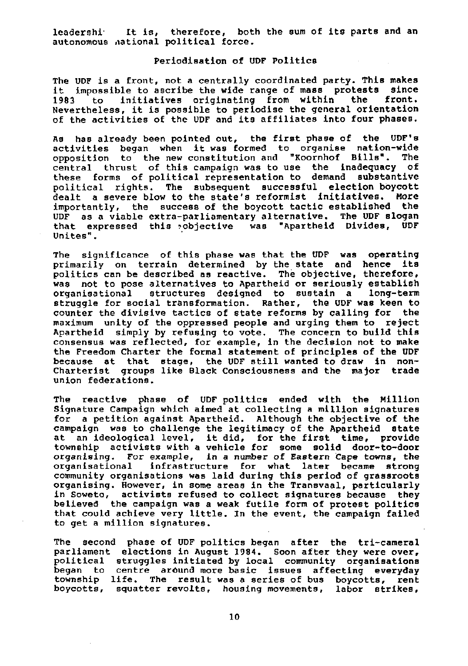leadershi<sup>.</sup> It is, therefore, both the sum of its parts and an autonomous national political force.

## Periodisation of UDF Politics

The UDF is a front, not a centrally coordinated party. This makes it impossible to ascribe the wide range of mass protests since<br>1983 to initiatives originating from within the front. to initiatives originating from within Nevertheless, it is possible to periodise the general orientation of the activities of the UDF and its affiliates into four phases.

As has already been pointed out, the first phase of the UDF's activities began when it was formed to organise nation-wide opposition to the new constitution and "Koornhof Bills". The central thrust of this campaign was to use the inadequacy of these forms of political representation to demand substantive political rights. The subsequent successful election-boycott<br>dealt a-severe-blow-to-the-state's-reformist initiatives. More dealt a severe blow to the state's reformist initiatives. importantly, the success of the boycott tactic established the UDF as a viable extra-parliamentary alternative. The UDF slogan that expressed this robjective was "Apartheid Divides, UDF Unites".

The significance of this phase was that the UDF was operating<br>primarily on terrain determined by the state and hence its primarily on terrain determined by the state and hence politics can be described as reactive. The objective, therefore, was not to pose alternatives to Apartheid or seriously establish organisational structures designed to sustain a long-term struggle for social transformation. Rather, the UDF was keen to counter the divisive tactics of state reforms by calling for the maximum unity of the oppressed people and urging them to reject Apartheid simply by refusing to vote. The concern to build this consensus was reflected, for example, in the decision not to make the Freedom Charter the formal statement of principles of the UDF because at that stage, the UDF still wanted to draw in non-Charterist groups like Black Consciousness and the major trade union federations.

The reactive phase of UDF politics ended with the Million Signature Campaign which aimed at collecting a million signatures for a petition against Apartheid. Although the objective of the campaign was to challenge the legitimacy of the Apartheid state at an ideological level, it did, for the first time, provide township activists with a vehicle for some solid door-to-door organising. For example, in a number of Eastern Cape towns, the organisational infrastructure for what later became strong community organisations was laid during this period of grassroots organising. However, in some areas in the Transvaal, particularly in Soweto, activists refused to collect signatures because they believed the campaign was a weak futile form of protest politics that could achieve very little. In the event, the campaign failed to get a million signatures.

The second phase of UDF politics began after the tri-cameral parliament elections in August 1984. Soon after they were over, political struggles initiated by local community organisations began to centre around more basic issues affecting everyday township life. The result was a series of bus boycotts, rent boycotts, squatter revolts, housing movements, labor strikes,

10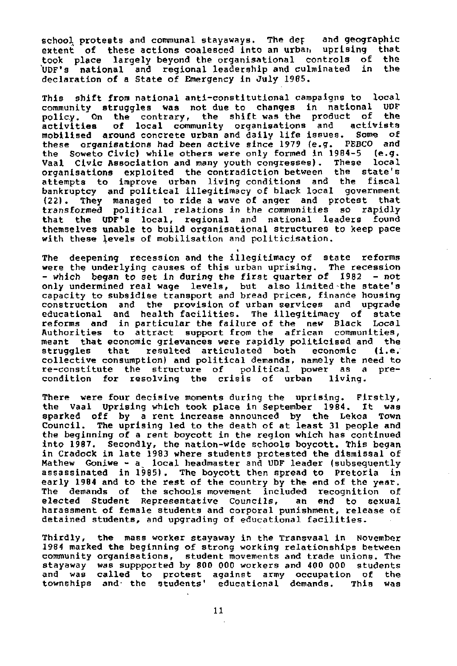school protests and communal stayaways. The dep and geographic extent of these actions coalesced into an urban uprising that took place largely beyond the organisational controls of the<br>tipe's pational and regional leadership and culminated in the 'UDF's national and regional leadership and culminated in declaration of a State of Emergency in July 1985.

This shift from national anti-constitutional campaigns to local<br>community struggles was not due to changes in national UDF community struggles was not due to changes in national UDF<br>policy, Op the contrary, the shift was the product of the policy. On the contrary, the shift was the product of activities of local community organisations and activ activities of local community organisations and activists mobilised around concrete urban and daily life issues. Some of these organisations had been active since 1979 (e.g. PEBCO and the Soweto Civic) while others were only formed in 1984-5 (e.g.<br>Vaal Civic Association and many youth congresses). These local Vaal Civic Association and many youth congresses). organisations exploited the contradiction between the state's attempts to improve urban living conditions and the fiscal bankruptcy and political illegitimacy of black local government (22). They managed to ride a wave of anger and protest that transformed political relations in the communities so rapidly that the UDF's local, regional and national leaders found themselves unable to build organisational structures to keep pace with these levels of mobilisation and politicisation.

The deepening recession and the illegitimacy of state reforms were the underlying causes of this urban uprising. The recession - which began to set in during the first quarter of 1982 - not only undermined real wage levels, but also limited the state's capacity to subsidise transport and bread prices, finance housing construction and the provision of urban services and upgrade educational and health facilities. The illegitimacy of state reforms and in particular the failure of the new Black Local Authorities to attract support from the afrlcan communities, meant that economic grievances were rapidly politicised and the struggles that resulted articulated both economic (i.e. collective consumption) and political demands, namely the need to re-constitute the structure of political power as a precondition for resolving the crisis of urban living.

There were four decisive moments during the uprising. Firstly, the Vaal Uprising which took place in September 1984. It was sparked off by a rent increase announced by the Lekoa Town Council. The uprising led to the death of at least 31 people and the beginning of a rent boycott in the region which has continued into 1987. Secondly, the nation-wide schools boycott. This began in Cradock in late 1983 where students protested the dismissal of Mathew Goniwe - a local headmaster and UDF leader (subsequently assassinated in 1985). The boycott then spread to Pretoria in early 1984 and to the rest of the country by the end of the year. The demands of the schools movement included recognition of elected Student Representative Councils, an end to sexual harassment of female students and corporal punishment, release of detained students, and upgrading of educational facilities.

Thirdly, the mass worker stayaway in the Transvaal in November 1984 marked the beginning of strong working relationships between community organisations, student movements and trade unions. The stayaway was suppported by 800 000 workers and 400 000 students and was called to protest against army occupation of the townships and the students' educational demands. This was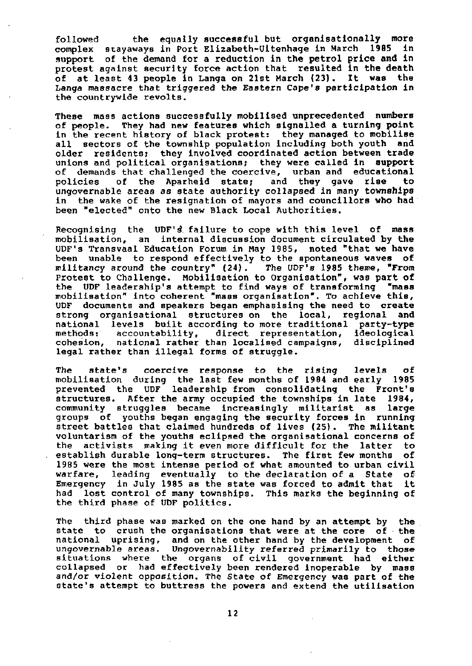followed the equally successful but organisationally more complex stayawayg in Port Elizabeth-Uitenhage in March 1985 in support of the demand for a reduction in the petrol price and in protest against security force action that resulted in the death of at least 43 people in Langa on 21st March (23). It was the Langa massacre that triggered the Eastern Cape's participation in the countrywide revolts.

These mass actions successfully mobilised unprecedented numbers of people. They had new features which signalled a turning point in the recent history of black protest: they managed to mobilise all sectors of the township population including both youth and older residents; they involved coordinated action between trade unions and political organisations; they were called in support of demands that challenged the coercive, urban and educational policies of the Aparheid state; and they gave rise to ungovernable areas as state authority collapsed in many townships in the wake of the resignation of mayors and councillors who had been "elected" onto the new Black Local Authorities.

Recognising the UDF's failure to cope with this level of mass mobilisation, an internal discussion document circulated by the UDF's Transvaal Education Forum in May 1985, noted "that we have been unable to respond effectively to the spontaneous waves of militancy around the country" (24). The UDF's 1985 theme, "From Protest to Challenge. Mobilisation to Organisation", was part of the UDF leadership's attempt to find ways of transforming "mass mobilisation" into coherent "mass organisation". To achieve this, UDF documents and speakers began emphasising the need to create strong organisational structures on the local, regional and national levels built according to more traditional party-type methods: accountability, direct representation, ideological cohesion, national rather than localised campaigns, disciplined legal rather than illegal forms of struggle.

The state's coercive response to the rising levels of mobilisation during the last few months of 1984 and early 1985 prevented the UDF leadership from consolidating the Front's structures. After the army occupied the townships in late 1984, community struggles became increasingly militarist as large groups of youths began engaging the security forces in running street battles that claimed hundreds of lives (25). The militant voluntarism of the youths eclipsed the organisational concerns of the activists making it even more difficult for the latter to establish durable long-term structures. The first few months of 1985 were the most intense period of what amounted to urban civil warfare, leading eventually to the declaration of a State of Emergency in July 1985 as the state was forced to admit that it had lost control of many townships. This marks the beginning of the third phase of UDF politics.

The third phase was marked on the one hand by an attempt by the state to crush the organisations that were at the core of the national uprising, and on the other hand by the development of ungovernable areas. Ungovernability referred primarily to those situations where the organs of civil government had either collapsed or had effectively been rendered inoperable by mass and/or violent opposition. The State of Emergency was part of the state's attempt to buttress the powers and extend the utilisation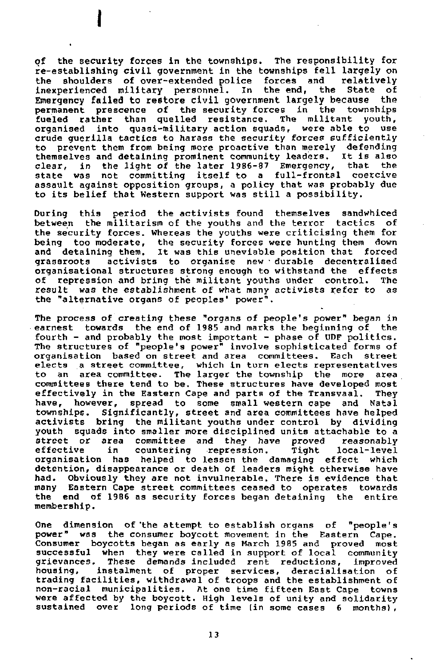of the security forces in the townships. The responsibility for re-establishing civil government in the townships fell largely on the shoulders of over-extended police forces and relatively inexperienced military personnel. In the end, the State of **Emergency failed to restore** civil government largely because the permanent prescence of the security forces in the townships fueled rather than quelled resistance. The militant youth, organised into quasi-military action squads, were able to use crude guerilla tactics to harass the security forces sufficiently to prevent them from being more proactive than merely defending themselves and detaining prominent community leaders. It is also clear, in the light of the later 1986-87 Emergency, that the state was not committing itself to a full-frontal coercive assault against opposition groups, a policy that was probably due to its belief that Western support was still a possibility.

During this period the activists found themselves sandwhiced between the militarism of the youths and the terror tactics of the security forces. Whereas the youths were criticising them for being too moderate, the security forces were hunting them down<br>and detaining them. It was this uneviable position that forced detaining them. It was this uneviable position that grassroots activists to organise new • durable decentralised organisational structures strong enough to withstand the effects of repression and bring the militant youths under control. The result was the establishment of what many activists refer to as the "alternative organs of peoples' power".

The process of creating these "organs of people's power" began in earnest towards the end of 1985 and marks the beginning of the fourth - and probably the most important - phase of UDF politics. The structures of "people's power" involve sophisticated forms of organisation based on street and area committees. Each street elects a street committee, which in turn elects representatives to an area committee. The larger the township the more area committees there tend to be. These structures have developed most effectively in the Eastern Cape and parts of the Transvaal. They have, however, spread to some small western cape and Natal townships. Significantly, street and area committees have helped activists bring the militant youths under control by dividing youth squads into smaller more disciplined units attachable to a street or area committee and they have proved reasonably effective in countering repression. Tight local-level organisation has helped to lessen the damaging effect which detention, disappearance or death of leaders might otherwise have had. Obviously they are not invulnerable. There is evidence that many Eastern Cape street committees ceased to operates towards the end of 1986 as security forces began detaining the entire membership.

One dimension of 'the attempt to establish organs of "people's power" was the consumer boycott movement in the Eastern Cape. Consumer boycotts began as early as March 1985 and proved most successful when they were called in support of local community grievances. These demands included rent reductions, improved housing, instalment of proper services, deracialisation of trading facilities, withdrawal of troops and the establishment oE non-racial municipalities. At one time fifteen East Cape towns were affected by the boycott. High levels of unity and solidarity sustained over long periods of time (in some cases 6 months),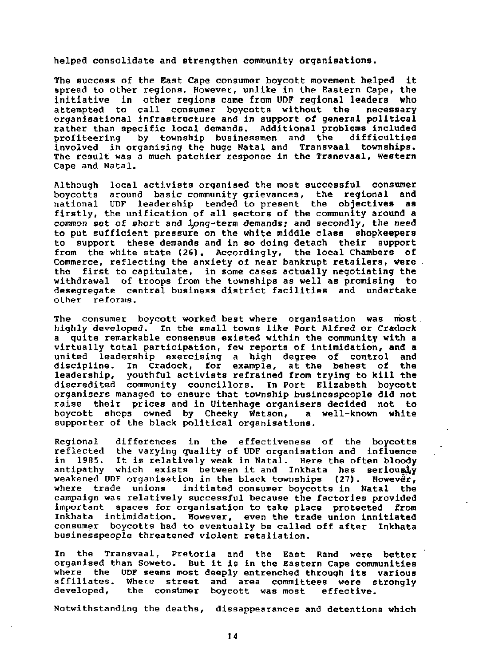helped consolidate and strengthen community organisations.

The success of the East Cape consumer boycott movement helped it spread to other regions. However, unlike in the Eastern Cape, the initiative in other regions came from UDF regional leaders who attempted to call consumer boycotts without the necessary organisational infrastructure and in support of general political rather than specific local demands. Additional problems included profiteering by township businessmen and the difficulties involved in organising the huge Natal and Transvaal townships. The result was a much patchier response in the Transvaal, Western Cape and Natal.

Although local activists organised the most successful consumer boycotts around basic community grievances, the regional and national UDF leadership tended to present the objectives as firstly, the unification of all sectors of the community around a common set of short and lpng-term demands; and secondly, the need to put sufficient pressure on the white middle class shopkeepers to support these demands and in so doing detach their support from the white state (26). Accordingly, the local Chambers of Commerce, reflecting the anxiety of near bankrupt retailers, were the first to capitulate, in some cases actually negotiating the withdrawal of troops from the townships as well as promising to desegregate central business district facilities and undertake other reforms.

The consumer boycott worked best where organisation was most highly developed. In the small towns like Port Alfred or Cradock a quite remarkable consensus existed within the community with a virtually total participation, few reports of intimidation, and a united leadership exercising a high degree of control and discipline. In Cradock, for example, at the behest of the leadership, youthful activists refrained from trying to kill the discredited community councillors. In Port Elizabeth boycott organisers managed to ensure that township businesspeople did not raise their prices and in Uitenhage organisers decided not to boycott shops owned by Cheeky Watson, a well-known white supporter of the black political organisations.

Regional differences in the effectiveness of the boycotts reflected the varying quality of UDF organisation and influence in 1985. It is relatively weak in Natal. Here the often bloody antipathy which exists between it and Inkhata has seriously weakened UDF organisation in the black townships (27). However,<br>where trade unions initiated consumer boycotts in Natal the initiated consumer boycotts in Natal the campaign was relatively successful because the factories provided important spaces for organisation to take place protected from Inkhata intimidation. However, even the trade union innitiated consumer boycotts had to eventually be called off after Inkhata businesspeople threatened violent retaliation.

In the Transvaal, Pretoria and the East Rand were better organised than Soweto. But it is in the Eastern Cape communities where the UDF seems most deeply entrenched through its various affiliates. Where street and area committees were strongly<br>developed, the consumer boycott was most effective. developed, the consumer boycott was most

Notwithstanding the deaths, dlssappearances and detentions which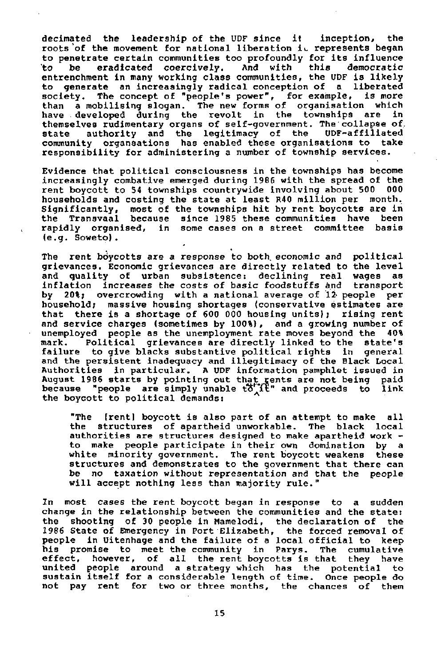decimated the leadership of the UDF since it inception, the roots of the movement for national liberation it represents began to penetrate certain communities too profoundly for its influence 'to be eradicated coercively. And with this democratic entrenchment in many working class communities, the UDF is likely to generate an increasingly radical conception of a liberated society. The concept of "people's power", for example, is more than a mobilising slogan. The new forms of organisation which have developed during the revolt in the townships are in themselves rudimentary organs of self-government. The collapse of. state authority and the legitimacy of the UDF-affillated community organsations has enabled these organisations to take responsibility for administering a number of township services.

Evidence that political consciousness in the townships has become increasingly combative emerged during 1986 with the spread of the rent boycott to 54 townships countrywide involving about 500 households and costing the state at least R40 million per month. Significantly, most of the townships hit by rent boycotts are in the Transvaal because since 1985 these communities have been rapidly organised, in some cases on a street committee basis (e.g. Soweto).

The rent boycotts are a response to both, economic and political grievances. Economic grievances are directly related to the level and quality of urban subsistence: declining real wages as inflation increases the costs of basic foodstuffs and transport by 20%; overcrowding with a national average of 12- people per household; massive housing shortages (conservative estimates are that there is a shortage of 600 000 housing units); rising rent and service charges (sometimes by 100%), and a growing number of unemployed people as the unemployment rate moves beyond the 40% mark. Political grievances are directly linked to the state's failure to give blacks substantive political rights in general and the persistent inadequacy and illegitimacy of the Black Local Authorities in particular. A UDF information pamphlet issued in August 1986 starts by pointing out that rents are not being paid because "people are simply unable t'S^Tt" and proceeds to link the boycott to political demands:

"The [rent] boycott is also part of an attempt to make all the structures of apartheid unworkable. The black local authorities are structures designed to make apartheid work to make people participate in their own domination by a white minority government. The rent boycott weakens these structures and demonstrates to the government that there can be no taxation without representation and that the people will accept nothing less than majority rule.'

In most cases the rent boycott began in response to a sudden change in the relationship between the communities and the state: the shooting of 30 people in Mamelodi, the declaration of the 1986 State of Emergency in Port Elizabeth, the forced removal of people in Uitenhage and the failure of a local official to keep his promise to meet the community in Parys. The cumulative effect, however, of all the rent boycotts is that they have united people around a strategy which has the potential to sustain itself for a considerable length of time. Once people do not pay rent for two or three months, the chances of them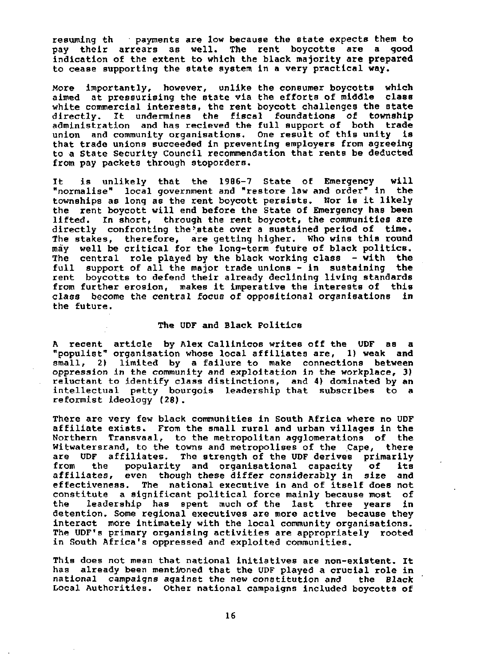resuming th payments are low because the state expects them to pay their arrears as well. The rent boycotts are a good indication of the extent to which the black majority are prepared to cease supporting the state system in a very practical way.

More importantly, however, unlike the consumer boycotts which aimed at pressurising the state via the efforts of middle class white commercial interests, the rent boycott challenges the state directly. It undermines the fiscal foundations of township administration and has recieved the full support of both trade union and community organisations. One result of this unity is that trade unions succeeded in preventing employers from agreeing to a State Security Council recommendation that rents be deducted from pay packets through stoporders.

It is unlikely that the 1986-7 State of Emergency will "normalise" local government and "restore law and order" in the townships as long as the rent boycott persists. Nor is it likely the rent boycott will end before the State of Emergency has been lifted. In short, through the rent boycott, the communities are directly confronting the?state over a sustained period of time. The stakes, therefore, are getting higher. Who wins this round may well be critical for the long-term future of black politics. The central role played by the black working class - with the full support of all the major trade unions - in sustaining the rent boycotts to defend their already declining living standards from further erosion, makes it imperative the interests of this class become the central focus of oppositional organisations in the future.

### The UDF and Black Politics

A recent article by Alex Callinicos writes off the UDF as a "populist" organisation whose local affiliates are, 1) weak and small, 2) limited by a failure to make connections between oppression in the community and exploitation in the workplace, 3) reluctant to identify class distinctions, and 4) dominated by an intellectual petty bourgois leadership that subscribes to a reformist ideology (28).

There are very few black communities in South Africa where no UDF affiliate exists. From the small rural and urban villages in the Northern Transvaal, to the metropolitan agglomerations of the Witwatersrand, to the towns and metropolises of the Cape, there are UDF affiliates. The strength of the UDF derives primarily from the popularity and organisational capacity of its affiliates, even though these differ considerably in size and effectiveness. The national executive in and of itself does not constitute a significant political force mainly because most of the leadership has spent much of the last three years in detention. Some regional executives are more active because they interact more intimately with the local community organisations. The UDF's primary organising activities are appropriately rooted in South Africa's oppressed and exploited communities.

This does not mean that national initiatives are non-existent. It has already been mentioned that the UDF played a crucial role in national campaigns against the new constitution and the Black Local Authorities. Other national campaigns included boycotts of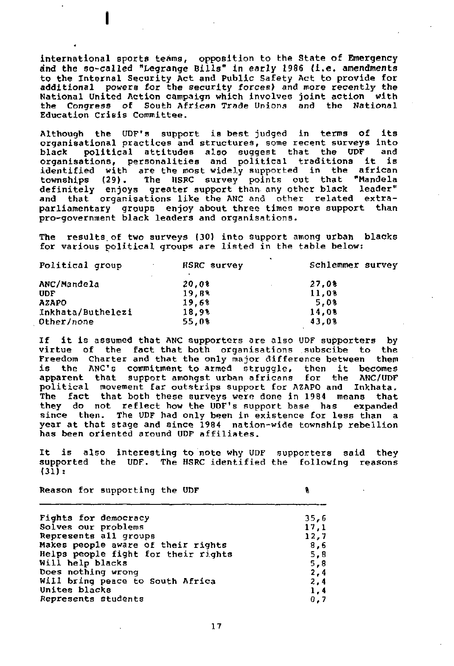international sports teams, opposition to the State of Emergency and the so-called "Legrange Bills" in early 1986 (i.e. amendments to the Internal Security Act and Public Safety Act to provide for additional powers for the security forces) and more recently the National United Action campaign which involves joint action with the Congress of South African Trade Unions and the National Education crisis Committee.

Although the UDF's support is best judged in terms of its organisational practices and structures, some recent surveys into black political attitudes also suggest that the UDF and organisations, personalities and political traditions it is identified with are the most widely supported in the african<br>townships (29). The HSRC survey points out that "Mandela The HSRC survey points out that "Mandela definitely enjoys greater support than any other black leader" and that organisations like the ANC and other related extraparliamentary groups enjoy about three times more support than pro-government black leaders and organisations.

The results of two surveys (30) into support among urban blacks for various political groups are listed in the table below:

| Political group   | <b>RSRC survey</b><br>٠ | Schlemmer survey |
|-------------------|-------------------------|------------------|
| ANC/Mandela       | 20.08                   | 27.08            |
| UDF               | 19.88                   | 11,08            |
| <b>AZAPO</b>      | 19,68                   | 5,08             |
| Inkhata/Buthelezi | 18.9%                   | 14,08            |
| Other/none        | 55.0%                   | 43.08            |

If it is assumed that ANC supporters are also UDF supporters by fact that both organisations subscibe to the Freedom Charter and that the only major difference between them is the ANC's commitment to armed struggle, then it becomes apparent that support amongst urban africans for the ANC/UDF apparent that support amongst urban africans for the ANC/UDF political movement far outstrips support for AZAPO and Inkhata. The fact that both these surveys were done in 1984 means that they do not reflect how the UDF's support base has expanded since then. The UDF had only been in existence for less than a year at that stage and since 1984 nation-wide township rebellion has been oriented around UDF affiliates.

It is also interesting to note why UDF supporters said they supported the UDF. The HSRC identified the following reasons (31):

Reason for supporting the UDF  $\aleph$ 

| Fights for democracy                | 35.6 |
|-------------------------------------|------|
| Solves our problems                 | 17.1 |
| Represents all groups               | 12.7 |
| Makes people aware of their rights  | 8.6  |
| Helps people fight for their rights | 5.8  |
| Will help blacks                    | 5.8  |
| Does nothing wrong                  | 2.4  |
| Will bring peace to South Africa    | 2.4  |
| Unites blacks                       | 1.4  |
| Represents students                 | 0.7  |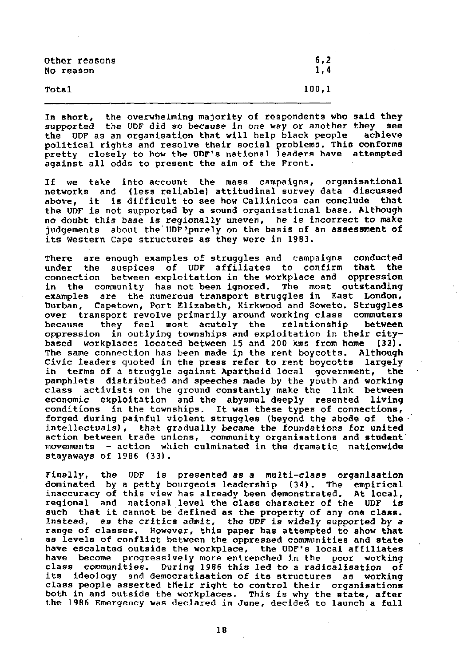| Other reasons | 6.2   |
|---------------|-------|
| No reason     | 1.4   |
| Total         | 100.1 |

In short, the overwhelming majority of respondents who said they<br>supported the UDF did so because in one way or another they see supported the UDF did so because in one way or another they the UDF as an organisation that will help black people achieve political rights and resolve their social problems. This conforms pretty closely to how the UDF's national leaders have attempted against all odds to present the aim of the Front.

If we take into account the mass campaigns, organisational networks and (less reliable) attitudinal survey data discussed above, it is difficult to see how Callinicos can conclude that the UDF is not supported by a sound organisational base. Although no doubt this base is regionally uneven, he is incorrect to make judgements about the'UDF'purely on the basis of an assessment of its Western Cape structures as they were in 1983.

There are enough examples of struggles and campaigns conducted<br>under the auspices of UDF affiliates to confirm that the under the auspices of UDF affiliates to confirm that connection between exploitation in the workplace and oppression in the community has not been ignored. The most outstanding examples are the numerous transport struggles in East London, Durban, Capetown, Port Elizabeth, Kirkwood and Soweto. Struggles over transport revolve primarily around working class commuters because they feel most acutely the relationship between oppression in outlying townships and exploitation in their citybased workplaces located between 15 and 200 kms from home (32). The same connection has been made in the rent boycotts. Although Civic leaders quoted in the press refer to rent boycotts largely in terms of a struggle against Apartheid local government, the pamphlets distributed and speeches made by the youth and working class activists on the ground constantly make the link between economic exploitation and the abysmal deeply resented living conditions in the townships. It was these types of connections, forged during painful violent struggles (beyond the abode of the intellectuals), that gradually became the foundations for united action between trade unions, community organisations and student movements - action which culminated in the dramatic nationwide stayaways of 1986 (33).

Finally, the UDF is presented as a multi-class organisation dominated by a petty bourgeois leadership (34). The empirical inaccuracy of this view has already been demonstrated. At local, regional and national level the class character of the UDF is such that it cannot be defined as the property of any one class. Instead, as the critics admit, the UDF is widely supported by a range of classes. However, this paper has attempted to show that as levels of conflict between the oppressed communities and state have escalated outside the workplace, the UDF's local affiliates have become progressively more entrenched in the poor working class communities. During 1986 this led to a radicalisation of its ideology and democratisation of its structures as working class people asserted tHeir right to control their organisations both in and outside the workplaces. This is why the state, after the 1986 Emergency was declared in June, decided to launch a full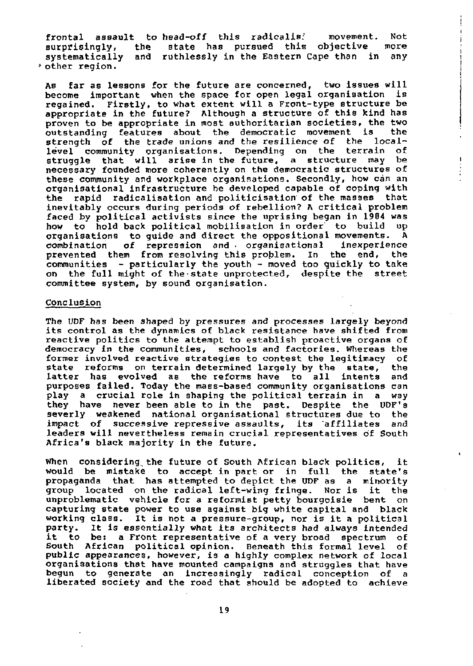frontal assault to-head-off this radicalis: movement. Not<br>surprisingly, the state has pursued this objective more surprisingly, the state has pursued this objective more<br>systematically and ruthlessly-in-the-Eastern-Cape-than in any systematically and ruthlessly in the Eastern Cape than in other region.

 $\mathfrak{t}$ 

As far as lessons for the future are concerned, two issues will become important when the space for open legal organisation is regained. Firstly, to what extent will a Front-type structure be appropriate in the future? Although a structure of this kind has proven to be appropriate in most authoritarian societies, the two outstanding features about the democratic movement is the strength of the trade unions and the resilience of the locallevel community organisations. Depending on the terrain of struggle that will arise in the future, a structure may be necessary founded more coherently on the democratic structures of these community and workplace organisations. Secondly, how can an organisational infrastructure be developed capable of coping with the rapid radicalisatlon and politicisation of the masses that inevitably occurs during periods of rebellion? A critical problem faced by political activists since the uprising began in 1984 was how to hold back political mobilisation in order to build up organisations to guide and direct the oppositional movements. A combination of repression and . organisational inexperience prevented them from resolving this problem. In the end, the communities - particularly the youth - moved too quickly to take on the full might of the state unprotected, despite the street committee system, by sound organisation.

## Conclusion

The UDF has been shaped by pressures and processes largely beyond its control as the dynamics of black resistance have shifted from reactive politics to the attempt to establish proactive organs of democracy in the communities, schools and factories. Whereas the former involved reactive strategies to contest the legitimacy of state reforms on terrain determined largely by the state, the latter has evolved as the reforms have to all intents and purposes failed. Today the mass-based community organisations can play a crucial role in shaping the political terrain in a way they have never been able to in the past. Despite the UDF's severly weakened national organisational structures due to the impact of successive repressive assaults, its "affiliates and leaders will nevertheless remain crucial representatives of South Africa's black majority in the future.

When considering, the future of South African black politics, it would be mistake to accept in part or in full the state's propaganda that has attempted to depict the UDF as a minority group located on the radical left-wing fringe. Nor is it the unproblematic vehicle for a reformist petty bourgoisie bent on capturing state power to use against big white capital and black working class. It is not a pressure-group, nor is it a political party. It is essentially what its architects had always intended it to be: a Front representative of a very broad spectrum of South African political opinion. Beneath this formal level of public appearances, however, is a highly complex network of local organisations that have mounted campaigns and struggles that have begun to generate an increasingly radical conception of a liberated society and the road that should be adopted to achieve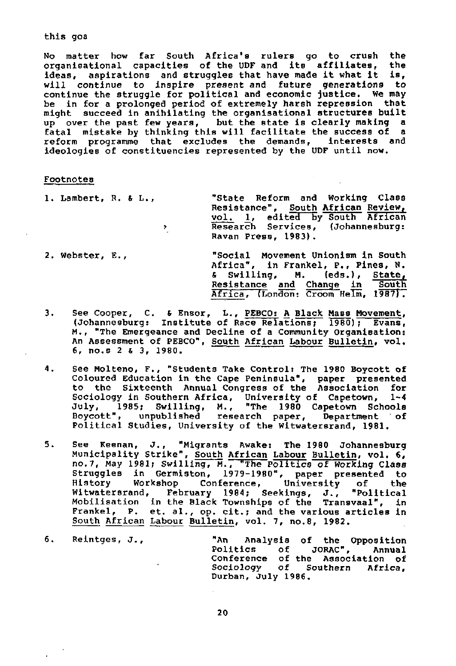#### this goa

No matter how far South Africa's rulers go to crush the<br>organisational capacities of the UDE and its affiliates, the organisational capacities of the UDF and its affiliates, ideas, aspirations and struggles that have made it what it is, will continue to inspire present and future generations to continue the struggle for political and economic justice. We may be in for a prolonged period of extremely harsh repression that might succeed in anlhilating the organisational structures built up over the past few years, but the state is clearly making a fatal mistake by thinking this will facilitate the success of a reform programme that excludes the demands, interests and ideologies of constituencies represented by the UDF until now.

#### Footnotes

1. Lambert, R. & L. ,

 $\blacktriangleright$ 

"State Reform and Working Class Resistance", South African Review, vol. 1, edited by South African Research Services, (Johannesburg: Ravan Press, 1983).

2. Webster, E.,

"Social Movement Unionism in South Africa", in Frankel, P., Pines, N. 6 Swilling, M. (eds.), State, Resistance and Change in South Africa, (London: Croom Helm, 1987).

- $3.$ See Cooper, C. & Ensor, L., PEBCO: A Black Mass Movement, (Johannesburg: Institute of Race Relations; 1980); Evans, M., "The Emergeance and Decline of a Community Organisation: An Assessment of PEBCO", South African Labour Bulletin, vol. 6, no.s 2 & 3, 1980.
- 4. See Molteno, F., "Students Take Control: The 1980 Boycott of Coloured Education in the Cape Peninsula", paper presented to the Sixteenth Annual Congress of the Association for Sociology in Southern Africa, University of Capetown, 1-4 July, 1985; Swilling, M., "The 1980 Capetown Schools Boycott", unpublished research paper, Department of Political Studies, University of the Witwatersrand, 1981.
- $5.$ See Keenan, J., "Migrants Awake: The 1980 Johannesburg Municipality Strike", South African Labour Bulletin, vol. 6, no.7, May 1981; Swilling, M., "The Politics of Working Class struggles in Germiston, 1979-1980", paper presented to<br>Bistory Workshop Conference. University of the Conference, University of the Witwatersrand, February 1984; Seekings, J., "Political Mobilisation in the Black Townships of the Transvaal", in Frankel, P. et. al., op. cit.; and the various articles in South African Labour Bulletin, vol. 7, no.8, 1982.
- 6. Reintges, J., "An Analysis of the Opposition Politics of JORAC", Annual Conference of the Association of Sociology of Southern Africa, Durban, July 1986.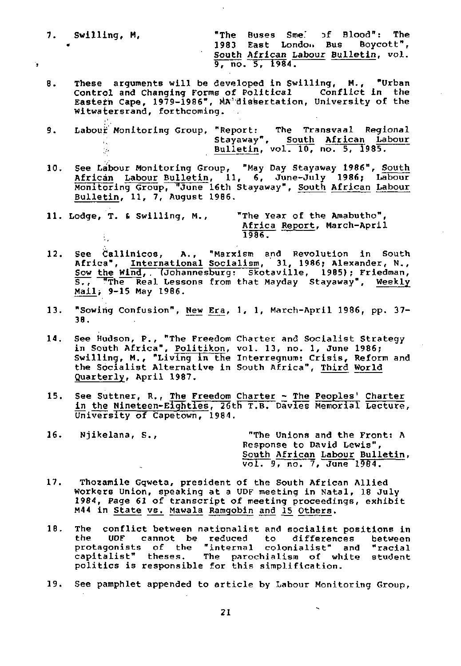$\mathbf{r}_\mathrm{c}$ 

7. Swilling, H, "The Buses Sme.' Df Blood": The • 1983 East London Bus Boycott", South African Labour Bulletin, vol. 9, no. 5, 1984.

- 8. These arguments will be developed in Swilling, M., "Urban Control and Changing Forms of Political Conflict in the Eastern Cape, 1979-1986", MA'dissertation. University of the Witwatersrand, forthcoming.
- 9. Labour Monitoring Group, "Report: The Transvaal Regional Stayaway", <u>South</u> African Labour  $\frac{1}{2}$  Bulletin, vol. 10, no. 5, 1985.
- 10. See Labour Monitoring Group, "May Day Stayaway 1986", <u>South</u> African Labour Bulletin, 11, 6, June-July 1986; Labour Monitoring Group, "June 16th Stayaway", South African Labour Bulletin, 11, 7, August 1986.
- 11. Lodge, T. S Swilling, M., "The Year of the Amabutho", Africa Report, March-April 1986. ŧ.
- 12. See Callinicos, A., "Marxism and Revolution in South Africa", International Socialism, 31, 1986; Alexander, N., Sow the Wind, (Johannesburg: Skotaville, 1985); Friedman,<br>S., "The Real Lessons from that Mayday Stayaway", Weekly "The Real Lessons from that Mayday Stayaway", Weekly Mail; 9-15 May 1986.
- 13. "Sowing Confusion", New Era, 1, 1, March-April 1986, pp. 37- 38.
- 14. See Hudson, P., "The Freedom Charter and Socialist Strategy in South Africa", Politikon, vol. 13, no. 1, June 1986; Swilling, M., "Living in the Interregnum: Crisis, Reform and the Socialist Alternative in South Africa", Third World Quarterly, April 1987.
- 15. See Suttner, R., The Freedom Charter The Peoples' Charter in the Nineteen-Eighties, 26th T.B. Davies Memorial Lecture, University of Capetown, 1984.

| 16. | Njikelana, S., | "The Unions and the Front: A   |
|-----|----------------|--------------------------------|
|     |                | Response to David Lewis",      |
|     |                | South African Labour Bulletin. |
|     |                | vol. 9, no. 7, June 1984.      |

- 17. Thozamile Gqweta, president of the South African Allied Workers Union, speaking at a UDF meeting in Natal, 18 July 1984, Page 61 of transcript of meeting proceedings, exhibit M44 in State vs. Mawala Ramgobin and 15 Others.
- 18. The conflict between nationalist and socialist positions in the UDF cannot be reduced to differences between protagonists of the "internal colonialist" and "racial capitalist" theses. The parochialism of white student politics is responsible for this simplification.
- 19. See pamphlet appended to article by Labour Monitoring Group,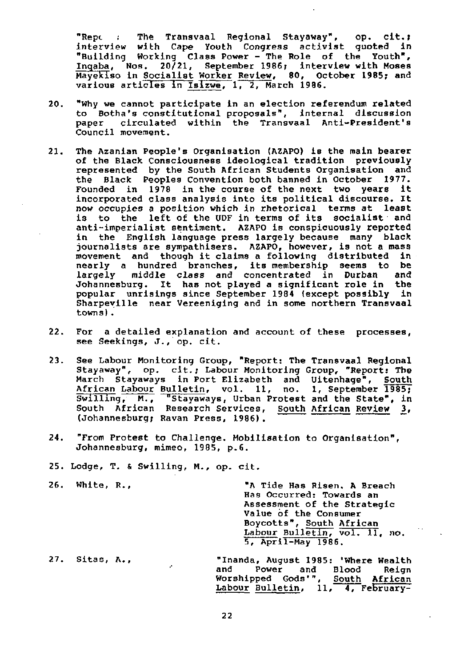"Repc ; The Transvaal Regional Stayaway", op. cit.; interview with Cape Youth Congress activist quoted in "Building Working Class Power - The Role of the Youth", Inqaba, Nos. 20/21, September 1986; interview with Moses Mayekiso in Socialist Worker Review, 80, October 1985; and various articles in Isizwe, 1, 2, March 1986.

- 20. "Why we cannot participate in an election referendum related to Botha's constitutional proposals", internal discussion paper circulated within the Transvaal Anti-President's Council movement.
- 21. The Azanian People's Organisation (AZAPO) is the main bearer of the Black Consciousness ideological tradition previously represented by the South African Students Organisation and the Black Peoples Convention both banned in October 1977. Founded in 1978 in the course of the next two years it incorporated class analysis into its political discourse. It now occupies a position which in rhetorical terms at least is to the left of the UDF in terms of its socialist and anti-imperialist sentiment. AZAPO is conspicuously reported in the English language press largely because many black journalists are sympathisers. AZAPO, however, is not a mass movement and though it claims a following distributed in nearly a hundred branches, its membership seems to be largely middle class and concentrated in Durban and Johannesburg. It has not played a significant role in the popular unrislngs since September 1984 (except possibly in Sharpeville near Vereeniging and in some northern Transvaal towns).
- 22. For a detailed explanation and account of these processes, see Seekings, J., op. cit.
- 23. See Labour Monitoring Group, "Report: The Transvaal Regional Stayaway", op. cit.; Labour Monitoring Group, "Report: The March Stayaways in Port Elizabeth and Uitenhage", South African Labour Bulletin, vol. 11, no. 1, September 1985; Swilling, M., "Stayaways, Urban Protest and the State", in South African Research Services, South African Review 3, (Johannesburg; Ravan Press, 1986).
- 24. "From Protest to Challenge. Mobilisation to Organisation", Johannesburg, mimeo, 1985, p.6.
- 25. Lodge, T. & Swilling, M., op. cit.
- 26. White, R.,

"A Tide Has Risen. A Breach Has Occurred: Towards an Assessment of the Strategic Value of the Consumer Boycotts", South African Labour Bulletin, vol. 11, no. 5, April-May 1986.

27. Sitas, A., "Inanda, August 1985: 'Where Wealth and Power and Blood Reign Worshipped Gods'", South African Labour Bulletin, 11, 4, February-